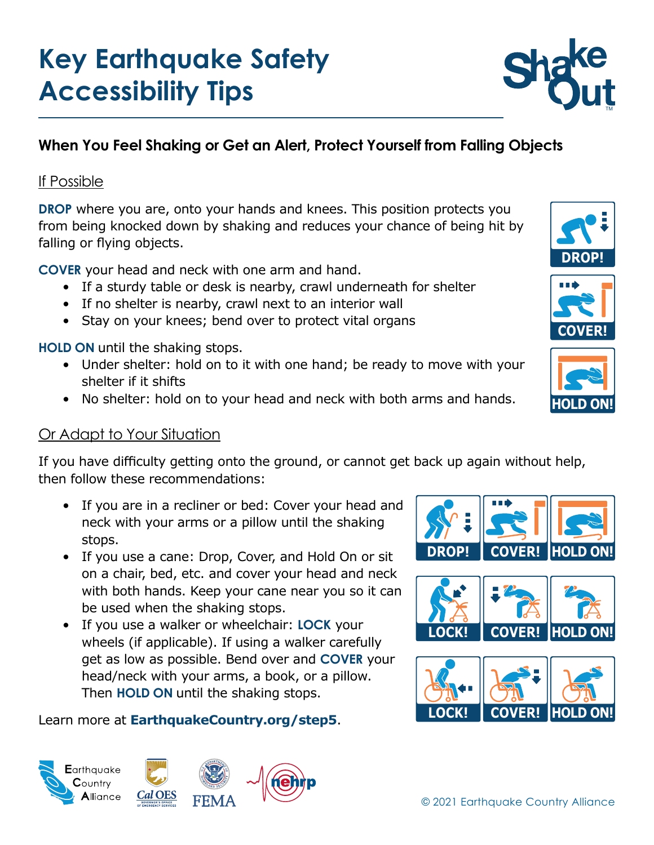# **Key Earthquake Safety Accessibility Tips**

## **When You Feel Shaking or Get an Alert, Protect Yourself from Falling Objects**

#### If Possible

**DROP** where you are, onto your hands and knees. This position protects you from being knocked down by shaking and reduces your chance of being hit by falling or flying objects.

**COVER** your head and neck with one arm and hand.

- If a sturdy table or desk is nearby, crawl underneath for shelter
- If no shelter is nearby, crawl next to an interior wall
- Stay on your knees; bend over to protect vital organs

**HOLD ON** until the shaking stops.

- Under shelter: hold on to it with one hand; be ready to move with your shelter if it shifts
- No shelter: hold on to your head and neck with both arms and hands.

### Or Adapt to Your Situation

**E**arthquake  $C$ ountrv **A**lliance

If you have difficulty getting onto the ground, or cannot get back up again without help, then follow these recommendations:

- If you are in a recliner or bed: Cover your head and neck with your arms or a pillow until the shaking stops.
- If you use a cane: Drop, Cover, and Hold On or sit on a chair, bed, etc. and cover your head and neck with both hands. Keep your cane near you so it can be used when the shaking stops.
- If you use a walker or wheelchair: **LOCK** your wheels (if applicable). If using a walker carefully get as low as possible. Bend over and **COVER** your head/neck with your arms, a book, or a pillow. Then **HOLD ON** until the shaking stops.

#### Learn more at **[EarthquakeCountry.org/step5](http://www.EarthquakeCountry.org/step5)**.